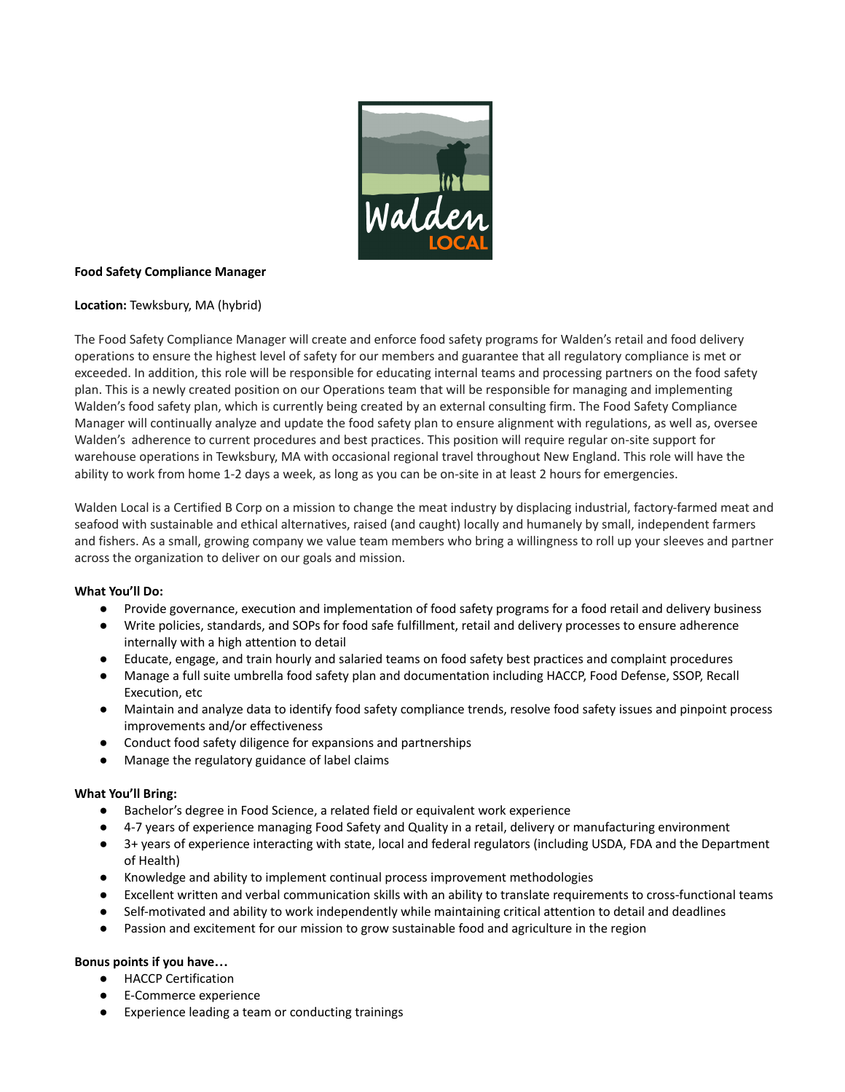

### **Food Safety Compliance Manager**

## **Location:** Tewksbury, MA (hybrid)

The Food Safety Compliance Manager will create and enforce food safety programs for Walden's retail and food delivery operations to ensure the highest level of safety for our members and guarantee that all regulatory compliance is met or exceeded. In addition, this role will be responsible for educating internal teams and processing partners on the food safety plan. This is a newly created position on our Operations team that will be responsible for managing and implementing Walden's food safety plan, which is currently being created by an external consulting firm. The Food Safety Compliance Manager will continually analyze and update the food safety plan to ensure alignment with regulations, as well as, oversee Walden's adherence to current procedures and best practices. This position will require regular on-site support for warehouse operations in Tewksbury, MA with occasional regional travel throughout New England. This role will have the ability to work from home 1-2 days a week, as long as you can be on-site in at least 2 hours for emergencies.

Walden Local is a Certified B Corp on a mission to change the meat industry by displacing industrial, factory-farmed meat and seafood with sustainable and ethical alternatives, raised (and caught) locally and humanely by small, independent farmers and fishers. As a small, growing company we value team members who bring a willingness to roll up your sleeves and partner across the organization to deliver on our goals and mission.

#### **What You'll Do:**

- Provide governance, execution and implementation of food safety programs for a food retail and delivery business
- Write policies, standards, and SOPs for food safe fulfillment, retail and delivery processes to ensure adherence internally with a high attention to detail
- Educate, engage, and train hourly and salaried teams on food safety best practices and complaint procedures
- Manage a full suite umbrella food safety plan and documentation including HACCP, Food Defense, SSOP, Recall Execution, etc
- Maintain and analyze data to identify food safety compliance trends, resolve food safety issues and pinpoint process improvements and/or effectiveness
- Conduct food safety diligence for expansions and partnerships
- Manage the regulatory guidance of label claims

#### **What You'll Bring:**

- Bachelor's degree in Food Science, a related field or equivalent work experience
- 4-7 years of experience managing Food Safety and Quality in a retail, delivery or manufacturing environment
- 3+ years of experience interacting with state, local and federal regulators (including USDA, FDA and the Department of Health)
- Knowledge and ability to implement continual process improvement methodologies
- Excellent written and verbal communication skills with an ability to translate requirements to cross-functional teams
- Self-motivated and ability to work independently while maintaining critical attention to detail and deadlines
- Passion and excitement for our mission to grow sustainable food and agriculture in the region

# **Bonus points if you have…**

- HACCP Certification
- E-Commerce experience
- Experience leading a team or conducting trainings